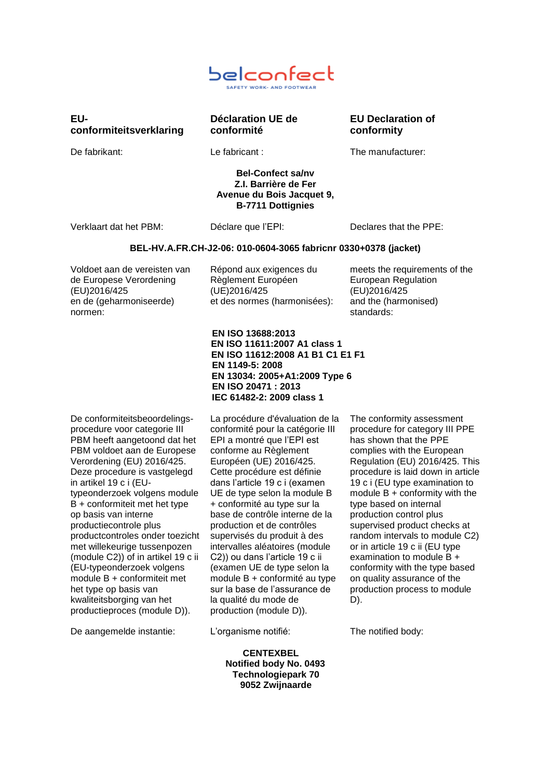

# **EUconformiteitsverklaring**

**Déclaration UE de conformité**

**EU Declaration of conformity**

De fabrikant: Le fabricant : The manufacturer:

## **Bel-Confect sa/nv Z.I. Barrière de Fer Avenue du Bois Jacquet 9, B-7711 Dottignies**

Verklaart dat het PBM: Déclare que l'EPI: Declares that the PPE:

## **BEL-HV.A.FR.CH-J2-06: 010-0604-3065 fabricnr 0330+0378 (jacket)**

Voldoet aan de vereisten van de Europese Verordening (EU)2016/425 en de (geharmoniseerde) normen:

Répond aux exigences du Règlement Européen (UE)2016/425 et des normes (harmonisées): and the (harmonised)

meets the requirements of the European Regulation (EU)2016/425 standards:

 **EN ISO 13688:2013 EN ISO 11611:2007 A1 class 1 EN ISO 11612:2008 A1 B1 C1 E1 F1 EN 1149-5: 2008 EN 13034: 2005+A1:2009 Type 6 EN ISO 20471 : 2013 IEC 61482-2: 2009 class 1**

De conformiteitsbeoordelingsprocedure voor categorie III PBM heeft aangetoond dat het PBM voldoet aan de Europese Verordening (EU) 2016/425. Deze procedure is vastgelegd in artikel 19 c i (EUtypeonderzoek volgens module B + conformiteit met het type op basis van interne productiecontrole plus productcontroles onder toezicht met willekeurige tussenpozen (module C2)) of in artikel 19 c ii (EU-typeonderzoek volgens module B + conformiteit met het type op basis van kwaliteitsborging van het productieproces (module D)).

De aangemelde instantie: L'organisme notifié: The notified body:

La procédure d'évaluation de la conformité pour la catégorie III EPI a montré que l'EPI est conforme au Règlement Européen (UE) 2016/425. Cette procédure est définie dans l'article 19 c i (examen UE de type selon la module B + conformité au type sur la base de contrôle interne de la production et de contrôles supervisés du produit à des intervalles aléatoires (module C2)) ou dans l'article 19 c ii (examen UE de type selon la module B + conformité au type sur la base de l'assurance de la qualité du mode de production (module D)).

 **CENTEXBEL Notified body No. 0493 Technologiepark 70 9052 Zwijnaarde**

The conformity assessment procedure for category III PPE has shown that the PPE complies with the European Regulation (EU) 2016/425. This procedure is laid down in article 19 c i (EU type examination to module  $B +$  conformity with the type based on internal production control plus supervised product checks at random intervals to module C2) or in article 19 c ii (EU type examination to module B + conformity with the type based on quality assurance of the production process to module D).